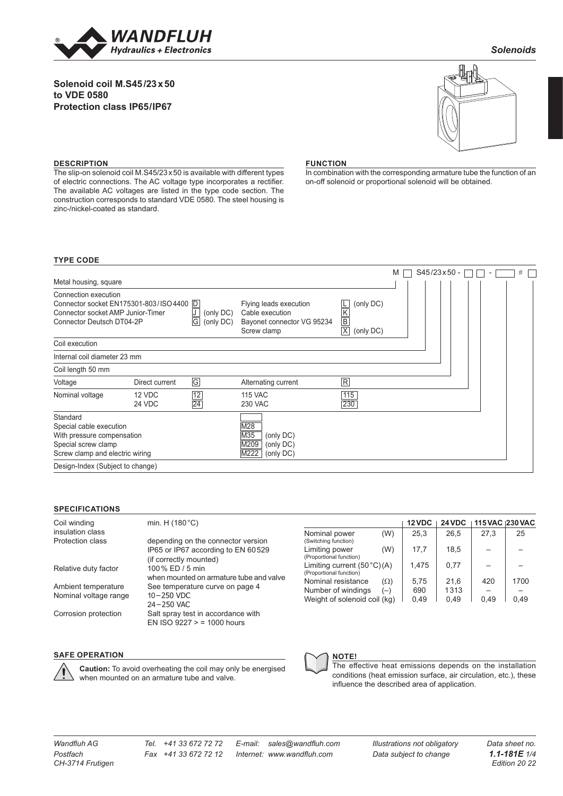

# **Solenoid coil M.S45/23x50 to VDE 0580 Protection class IP65/IP67**



*Solenoids*

#### **DESCRIPTION**

The slip-on solenoid coil M.S45/23 x 50 is available with different types of electric connections. The AC voltage type incorporates a rectifier. The available AC voltages are listed in the type code section. The construction corresponds to standard VDE 0580. The steel housing is zinc-/nickel-coated as standard.

### **FUNCTION**

In combination with the corresponding armature tube the function of an on-off solenoid or proportional solenoid will be obtained.

### **TYPE CODE**

|                                                                                                                                                                            |                  |                 |                                                                                                                                                                                    |            | $S45/23x50 -$<br>#<br>М<br>$\overline{\phantom{a}}$ |
|----------------------------------------------------------------------------------------------------------------------------------------------------------------------------|------------------|-----------------|------------------------------------------------------------------------------------------------------------------------------------------------------------------------------------|------------|-----------------------------------------------------|
| Metal housing, square                                                                                                                                                      |                  |                 |                                                                                                                                                                                    |            |                                                     |
| Connection execution<br>Connector socket EN175301-803/ISO 4400  D <br>Connector socket AMP Junior-Timer<br>U<br>(only DC)<br> G <br>Connector Deutsch DT04-2P<br>(only DC) |                  |                 | (only DC)<br>Flying leads execution<br>L<br>$\overline{\mathsf{K}}$<br>Cable execution<br>$\overline{\mathsf{B}}$<br>Bayonet connector VG 95234<br> X <br>Screw clamp<br>(only DC) |            |                                                     |
| Coil execution                                                                                                                                                             |                  |                 |                                                                                                                                                                                    |            |                                                     |
| Internal coil diameter 23 mm                                                                                                                                               |                  |                 |                                                                                                                                                                                    |            |                                                     |
| Coil length 50 mm                                                                                                                                                          |                  |                 |                                                                                                                                                                                    |            |                                                     |
| Voltage                                                                                                                                                                    | Direct current   | $\boxed{G}$     | Alternating current                                                                                                                                                                | R          |                                                     |
| Nominal voltage                                                                                                                                                            | 12 VDC<br>24 VDC | $\frac{12}{24}$ | <b>115 VAC</b><br><b>230 VAC</b>                                                                                                                                                   | 115<br>230 |                                                     |
| Standard<br>Special cable execution<br>With pressure compensation<br>Special screw clamp<br>Screw clamp and electric wiring                                                |                  |                 | M28<br>M35<br>(only DC)<br>M209<br>(only DC)<br>M222<br>(only DC)                                                                                                                  |            |                                                     |
| Design-Index (Subject to change)                                                                                                                                           |                  |                 |                                                                                                                                                                                    |            |                                                     |

#### **SPECIFICATIONS**

| Coil winding<br>insulation class | min. H $(180 °C)$                                                        |
|----------------------------------|--------------------------------------------------------------------------|
| Protection class                 | depending on the connector version<br>IP65 or IP67 according to EN 60529 |
|                                  | (if correctly mounted)                                                   |
| Relative duty factor             | 100% ED / 5 min                                                          |
|                                  | when mounted on armature tube and valve                                  |
| Ambient temperature              | See temperature curve on page 4                                          |
| Nominal voltage range            | 10-250 VDC                                                               |
|                                  | 24-250 VAC                                                               |
| Corrosion protection             | Salt spray test in accordance with<br>EN ISO $9227 > 1000$ hours         |
|                                  |                                                                          |

|                                                          |            | 12 VDC | 24 VDC | 115 VAC 1230 VAC |      |
|----------------------------------------------------------|------------|--------|--------|------------------|------|
| Nominal power<br>(Switching function)                    | (W)        | 25,3   | 26,5   | 27,3             | 25   |
| Limiting power<br>(Proportional function)                | (W)        | 17,7   | 18.5   |                  |      |
| Limiting current $(50 °C)(A)$<br>(Proportional function) |            | 1,475  | 0,77   |                  |      |
| Nominal resistance                                       | $(\Omega)$ | 5.75   | 21,6   | 420              | 1700 |
| Number of windings                                       | $(-)$      | 690    | 1313   |                  |      |
| Weight of solenoid coil (kg)                             |            | 0,49   | 0.49   | 0.49             | 0.49 |

## **SAFE OPERATION**

**Caution:** To avoid overheating the coil may only be energised when mounted on an armature tube and valve.



The effective heat emissions depends on the installation conditions (heat emission surface, air circulation, etc.), these influence the described area of application.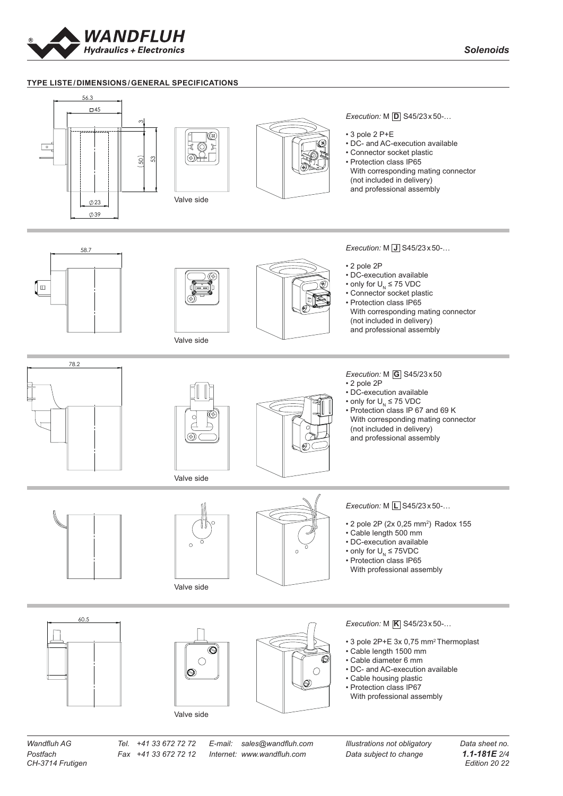

# **TYPE LISTE/DIMENSIONS/GENERAL SPECIFICATIONS** 1 2 3 4 5 6 7 8 9 10 11 12 13 14 56.3



*CH-3714 Frutigen Edition 20 22*

*Postfach Fax +41 33 672 72 12 Internet: www.wandfluh.com Data subject to change 1.1-181E 2/4*

*Wandfluh AG Tel. +41 33 672 72 72 E-mail: sales@wandfluh.com Illustrations not obligatory Data sheet no.*

 $\overline{\phantom{a}}$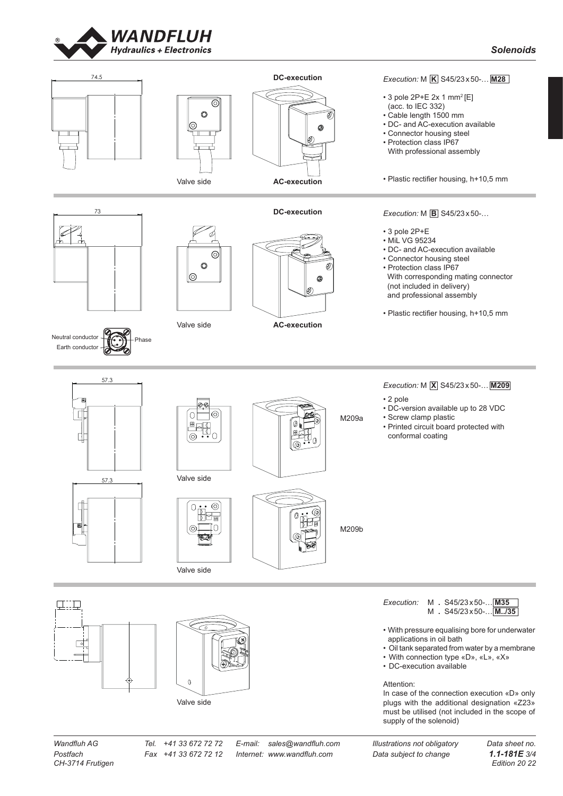



73





# **DC-execution**



*Solenoids*

MXS45/23x50-M209a

MXS45/23x50-M209a

 $M_{\rm NS}$ 

- 3 pole 2P+E 2x 1 mm<sup>2</sup>[E] (acc. to IEC 332)
- Cable length 1500 mm
- DC- and AC-execution available
- Connector housing steel
- Protection class IP67
- With professional assembly

• Plastic rectifier housing, h+10,5 mm

 73 84.3 57.2 84.3



Valve side



**AC-execution**

# *Execution:*  $M$  **B** S45/23 x 50-...

- 3 pole 2P+E
- MiL VG 95234
- DC- and AC-execution available
- Connector housing steel
- Protection class IP67 With corresponding mating connector (not included in delivery) and professional assembly
- Plastic rectifier housing, h+10,5 mm



84.3

84.3





1

57.3

电加工

同

56.3



MDS45/23x50-M35





• 2 pole

- 
- DC-version available up to 28 VDC
- Screw clamp plastic
- Printed circuit board protected with conformal coating





• With pressure equalising bore for underwater applications in oil bath

- Oil tank separated from water by a membrane
- With connection type «D», «L», «X»
- DC-execution available

Attention:

In case of the connection execution «D» only plugs with the additional designation «Z23» must be utilised (not included in the scope of supply of the solenoid)

*CH-3714 Frutigen Edition 20 22*

Valve side

*Postfach Fax +41 33 672 72 12 Internet: www.wandfluh.com Data subject to change 1.1-181E 3/4*

*Wandfluh AG Tel.*  $+41$  33 672 72 *Z E-mail: sales@wandfluh.com Illustrations not obligatory* 

*Execution:* M **X** S45/23x50-… **M209**